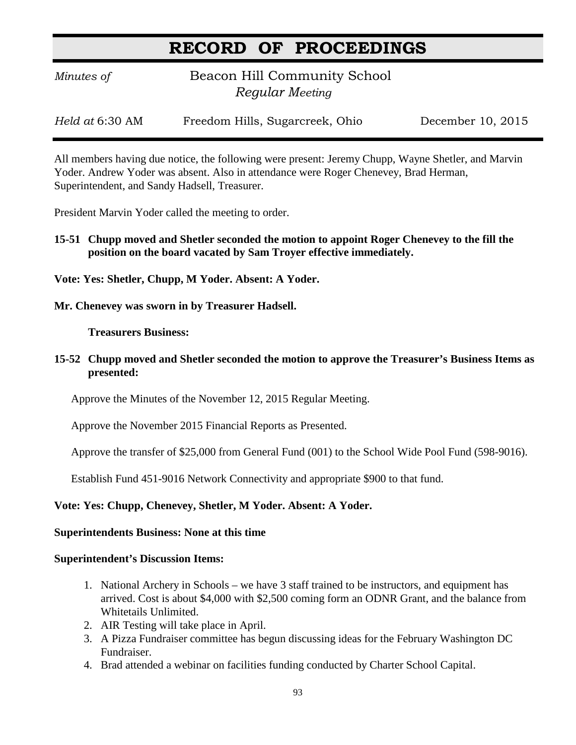## **RECORD OF PROCEEDINGS**

*Minutes of* **Beacon Hill Community School**  *Regular Meeting*

*Held at* 6:30 AM Freedom Hills, Sugarcreek, Ohio December 10, 2015

All members having due notice, the following were present: Jeremy Chupp, Wayne Shetler, and Marvin Yoder. Andrew Yoder was absent. Also in attendance were Roger Chenevey, Brad Herman, Superintendent, and Sandy Hadsell, Treasurer.

President Marvin Yoder called the meeting to order.

**15-51 Chupp moved and Shetler seconded the motion to appoint Roger Chenevey to the fill the position on the board vacated by Sam Troyer effective immediately.**

**Vote: Yes: Shetler, Chupp, M Yoder. Absent: A Yoder.**

**Mr. Chenevey was sworn in by Treasurer Hadsell.**

**Treasurers Business:**

**15-52 Chupp moved and Shetler seconded the motion to approve the Treasurer's Business Items as presented:**

Approve the Minutes of the November 12, 2015 Regular Meeting.

Approve the November 2015 Financial Reports as Presented.

Approve the transfer of \$25,000 from General Fund (001) to the School Wide Pool Fund (598-9016).

Establish Fund 451-9016 Network Connectivity and appropriate \$900 to that fund.

### **Vote: Yes: Chupp, Chenevey, Shetler, M Yoder. Absent: A Yoder.**

### **Superintendents Business: None at this time**

#### **Superintendent's Discussion Items:**

- 1. National Archery in Schools we have 3 staff trained to be instructors, and equipment has arrived. Cost is about \$4,000 with \$2,500 coming form an ODNR Grant, and the balance from Whitetails Unlimited.
- 2. AIR Testing will take place in April.
- 3. A Pizza Fundraiser committee has begun discussing ideas for the February Washington DC Fundraiser.
- 4. Brad attended a webinar on facilities funding conducted by Charter School Capital.